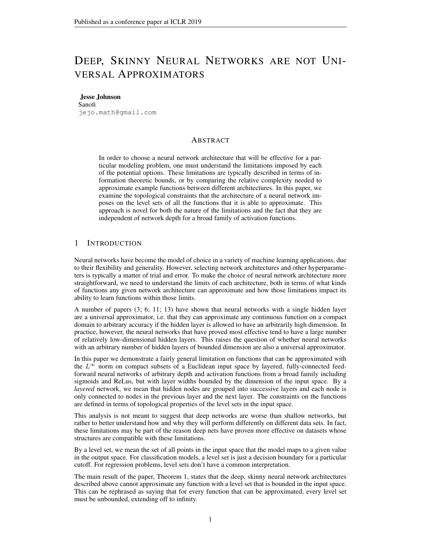# DEEP, SKINNY NEURAL NETWORKS ARE NOT UNI-VERSAL APPROXIMATORS

#### Jesse Johnson

Sanofi jejo.math@gmail.com

### **ABSTRACT**

In order to choose a neural network architecture that will be effective for a particular modeling problem, one must understand the limitations imposed by each of the potential options. These limitations are typically described in terms of information theoretic bounds, or by comparing the relative complexity needed to approximate example functions between different architectures. In this paper, we examine the topological constraints that the architecture of a neural network imposes on the level sets of all the functions that it is able to approximate. This approach is novel for both the nature of the limitations and the fact that they are independent of network depth for a broad family of activation functions.

#### 1 INTRODUCTION

Neural networks have become the model of choice in a variety of machine learning applications, due to their flexibility and generality. However, selecting network architectures and other hyperparameters is typically a matter of trial and error. To make the choice of neural network architecture more straightforward, we need to understand the limits of each architecture, both in terms of what kinds of functions any given network architecture can approximate and how those limitations impact its ability to learn functions within those limits.

A number of papers (3; 6; 11; 13) have shown that neural networks with a single hidden layer are a universal approximator, i.e. that they can approximate any continuous function on a compact domain to arbitrary accuracy if the hidden layer is allowed to have an arbitrarily high dimension. In practice, however, the neural networks that have proved most effective tend to have a large number of relatively low-dimensional hidden layers. This raises the question of whether neural networks with an arbitrary number of hidden layers of bounded dimension are also a universal approximator.

In this paper we demonstrate a fairly general limitation on functions that can be approximated with the  $L^{\infty}$  norm on compact subsets of a Euclidean input space by layered, fully-connected feedforward neural networks of arbitrary depth and activation functions from a broad family including sigmoids and ReLus, but with layer widths bounded by the dimension of the input space. By a *layered* network, we mean that hidden nodes are grouped into successive layers and each node is only connected to nodes in the previous layer and the next layer. The constraints on the functions are defined in terms of topological properties of the level sets in the input space.

This analysis is not meant to suggest that deep networks are worse than shallow networks, but rather to better understand how and why they will perform differently on different data sets. In fact, these limitations may be part of the reason deep nets have proven more effective on datasets whose structures are compatible with these limitations.

By a level set, we mean the set of all points in the input space that the model maps to a given value in the output space. For classification models, a level set is just a decision boundary for a particular cutoff. For regression problems, level sets don't have a common interpretation.

The main result of the paper, Theorem 1, states that the deep, skinny neural network architectures described above cannot approximate any function with a level set that is bounded in the input space. This can be rephrased as saying that for every function that can be approximated, every level set must be unbounded, extending off to infinity.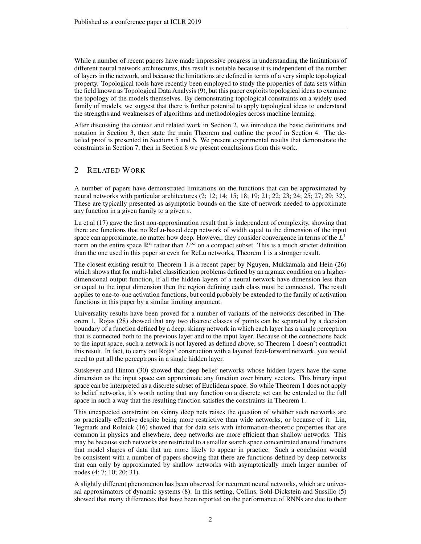While a number of recent papers have made impressive progress in understanding the limitations of different neural network architectures, this result is notable because it is independent of the number of layers in the network, and because the limitations are defined in terms of a very simple topological property. Topological tools have recently been employed to study the properties of data sets within the field known as Topological Data Analysis (9), but this paper exploits topological ideas to examine the topology of the models themselves. By demonstrating topological constraints on a widely used family of models, we suggest that there is further potential to apply topological ideas to understand the strengths and weaknesses of algorithms and methodologies across machine learning.

After discussing the context and related work in Section 2, we introduce the basic definitions and notation in Section 3, then state the main Theorem and outline the proof in Section 4. The detailed proof is presented in Sections 5 and 6. We present experimental results that demonstrate the constraints in Section 7, then in Section 8 we present conclusions from this work.

## 2 RELATED WORK

A number of papers have demonstrated limitations on the functions that can be approximated by neural networks with particular architectures (2; 12; 14; 15; 18; 19; 21; 22; 23; 24; 25; 27; 29; 32). These are typically presented as asymptotic bounds on the size of network needed to approximate any function in a given family to a given  $\varepsilon$ .

Lu et al (17) gave the first non-approximation result that is independent of complexity, showing that there are functions that no ReLu-based deep network of width equal to the dimension of the input space can approximate, no matter how deep. However, they consider convergence in terms of the  $L^1$ norm on the entire space  $\mathbb{R}^n$  rather than  $L^{\infty}$  on a compact subset. This is a much stricter definition than the one used in this paper so even for ReLu networks, Theorem 1 is a stronger result.

The closest existing result to Theorem 1 is a recent paper by Nguyen, Mukkamala and Hein (26) which shows that for multi-label classification problems defined by an argmax condition on a higherdimensional output function, if all the hidden layers of a neural network have dimension less than or equal to the input dimension then the region defining each class must be connected. The result applies to one-to-one activation functions, but could probably be extended to the family of activation functions in this paper by a similar limiting argument.

Universality results have been proved for a number of variants of the networks described in Theorem 1. Rojas (28) showed that any two discrete classes of points can be separated by a decision boundary of a function defined by a deep, skinny network in which each layer has a single perceptron that is connected both to the previous layer and to the input layer. Because of the connections back to the input space, such a network is not layered as defined above, so Theorem 1 doesn't contradict this result. In fact, to carry out Rojas' construction with a layered feed-forward network, you would need to put all the perceptrons in a single hidden layer.

Sutskever and Hinton (30) showed that deep belief networks whose hidden layers have the same dimension as the input space can approximate any function over binary vectors. This binary input space can be interpreted as a discrete subset of Euclidean space. So while Theorem 1 does not apply to belief networks, it's worth noting that any function on a discrete set can be extended to the full space in such a way that the resulting function satisfies the constraints in Theorem 1.

This unexpected constraint on skinny deep nets raises the question of whether such networks are so practically effective despite being more restrictive than wide networks, or because of it. Lin, Tegmark and Rolnick (16) showed that for data sets with information-theoretic properties that are common in physics and elsewhere, deep networks are more efficient than shallow networks. This may be because such networks are restricted to a smaller search space concentrated around functions that model shapes of data that are more likely to appear in practice. Such a conclusion would be consistent with a number of papers showing that there are functions defined by deep networks that can only by approximated by shallow networks with asymptotically much larger number of nodes (4; 7; 10; 20; 31).

A slightly different phenomenon has been observed for recurrent neural networks, which are universal approximators of dynamic systems (8). In this setting, Collins, Sohl-Dickstein and Sussillo (5) showed that many differences that have been reported on the performance of RNNs are due to their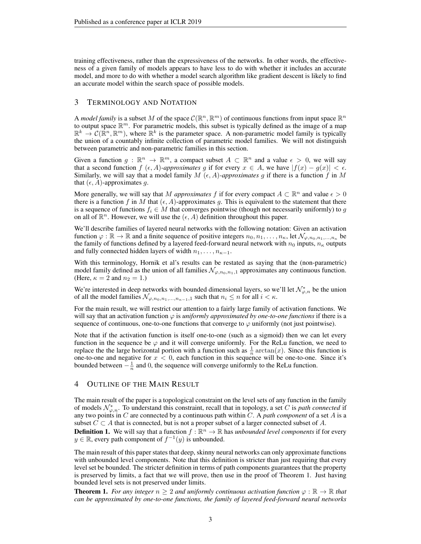training effectiveness, rather than the expressiveness of the networks. In other words, the effectiveness of a given family of models appears to have less to do with whether it includes an accurate model, and more to do with whether a model search algorithm like gradient descent is likely to find an accurate model within the search space of possible models.

#### 3 TERMINOLOGY AND NOTATION

A *model family* is a subset M of the space  $C(\mathbb{R}^n, \mathbb{R}^m)$  of continuous functions from input space  $\mathbb{R}^n$ to output space  $\mathbb{R}^m$ . For parametric models, this subset is typically defined as the image of a map  $\mathbb{R}^k \to \mathcal{C}(\mathbb{R}^n, \mathbb{R}^m)$ , where  $\mathbb{R}^k$  is the parameter space. A non-parametric model family is typically the union of a countably infinite collection of parametric model families. We will not distinguish between parametric and non-parametric families in this section.

Given a function  $g: \mathbb{R}^n \to \mathbb{R}^m$ , a compact subset  $A \subset \mathbb{R}^n$  and a value  $\epsilon > 0$ , we will say that a second function f  $(\epsilon, A)$ -approximates g if for every  $x \in A$ , we have  $|f(x) - g(x)| < \epsilon$ . Similarly, we will say that a model family  $M(\epsilon, A)$ *-approximates* g if there is a function f in M that  $(\epsilon, A)$ -approximates q.

More generally, we will say that M *approximates* f if for every compact  $A \subset \mathbb{R}^n$  and value  $\epsilon > 0$ there is a function f in M that  $(\epsilon, A)$ -approximates g. This is equivalent to the statement that there is a sequence of functions  $f_i \in M$  that converges pointwise (though not necessarily uniformly) to g on all of  $\mathbb{R}^n$ . However, we will use the  $(\epsilon, A)$  definition throughout this paper.

We'll describe families of layered neural networks with the following notation: Given an activation function  $\varphi : \mathbb{R} \to \mathbb{R}$  and a finite sequence of positive integers  $n_0, n_1, \ldots, n_\kappa$ , let  $\mathcal{N}_{\varphi,n_0,n_1,\ldots,n_\kappa}$  be the family of functions defined by a layered feed-forward neural network with  $n_0$  inputs,  $n_k$  outputs and fully connected hidden layers of width  $n_1, \ldots, n_{\kappa-1}$ .

With this terminology, Hornik et al's results can be restated as saying that the (non-parametric) model family defined as the union of all families  $\mathcal{N}_{\varphi,n_0,n_1,1}$  approximates any continuous function. (Here,  $\kappa = 2$  and  $n_2 = 1$ .)

We're interested in deep networks with bounded dimensional layers, so we'll let  $\mathcal{N}_{\varphi,n}^*$  be the union of all the model families  $\mathcal{N}_{\varphi,n_0,n_1,\dots,n_{\kappa-1},1}$  such that  $n_i \leq n$  for all  $i < \kappa$ .

For the main result, we will restrict our attention to a fairly large family of activation functions. We will say that an activation function  $\varphi$  is *uniformly approximated by one-to-one functions* if there is a sequence of continuous, one-to-one functions that converge to  $\varphi$  uniformly (not just pointwise).

Note that if the activation function is itself one-to-one (such as a sigmoid) then we can let every function in the sequence be  $\varphi$  and it will converge uniformly. For the ReLu function, we need to replace the the large horizontal portion with a function such as  $\frac{1}{n} \arctan(x)$ . Since this function is one-to-one and negative for  $x < 0$ , each function in this sequence will be one-to-one. Since it's bounded between  $-\frac{1}{n}$  and 0, the sequence will converge uniformly to the ReLu function.

#### 4 OUTLINE OF THE MAIN RESULT

The main result of the paper is a topological constraint on the level sets of any function in the family of models  $\mathcal{N}_{\varphi,n}^*$ . To understand this constraint, recall that in topology, a set C is *path connected* if any two points in C are connected by a continuous path within C. A *path component* of a set A is a subset  $C \subset A$  that is connected, but is not a proper subset of a larger connected subset of A.

**Definition 1.** We will say that a function  $f : \mathbb{R}^n \to \mathbb{R}$  has *unbounded level components* if for every  $y \in \mathbb{R}$ , every path component of  $f^{-1}(y)$  is unbounded.

The main result of this paper states that deep, skinny neural networks can only approximate functions with unbounded level components. Note that this definition is stricter than just requiring that every level set be bounded. The stricter definition in terms of path components guarantees that the property is preserved by limits, a fact that we will prove, then use in the proof of Theorem 1. Just having bounded level sets is not preserved under limits.

**Theorem 1.** *For any integer*  $n \geq 2$  *and uniformly continuous activation function*  $\varphi : \mathbb{R} \to \mathbb{R}$  *that can be approximated by one-to-one functions, the family of layered feed-forward neural networks*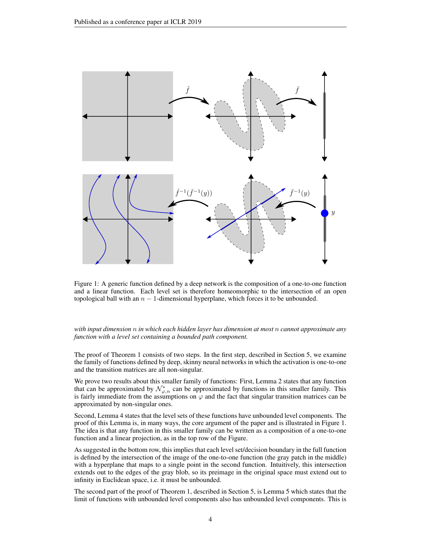

Figure 1: A generic function defined by a deep network is the composition of a one-to-one function and a linear function. Each level set is therefore homeomorphic to the intersection of an open topological ball with an  $n - 1$ -dimensional hyperplane, which forces it to be unbounded.

*with input dimension* n *in which each hidden layer has dimension at most* n *cannot approximate any function with a level set containing a bounded path component.*

The proof of Theorem 1 consists of two steps. In the first step, described in Section 5, we examine the family of functions defined by deep, skinny neural networks in which the activation is one-to-one and the transition matrices are all non-singular.

We prove two results about this smaller family of functions: First, Lemma 2 states that any function that can be approximated by  $\mathcal{N}_{\varphi,n}^*$  can be approximated by functions in this smaller family. This is fairly immediate from the assumptions on  $\varphi$  and the fact that singular transition matrices can be approximated by non-singular ones.

Second, Lemma 4 states that the level sets of these functions have unbounded level components. The proof of this Lemma is, in many ways, the core argument of the paper and is illustrated in Figure 1. The idea is that any function in this smaller family can be written as a composition of a one-to-one function and a linear projection, as in the top row of the Figure.

As suggested in the bottom row, this implies that each level set/decision boundary in the full function is defined by the intersection of the image of the one-to-one function (the gray patch in the middle) with a hyperplane that maps to a single point in the second function. Intuitively, this intersection extends out to the edges of the gray blob, so its preimage in the original space must extend out to infinity in Euclidean space, i.e. it must be unbounded.

The second part of the proof of Theorem 1, described in Section 5, is Lemma 5 which states that the limit of functions with unbounded level components also has unbounded level components. This is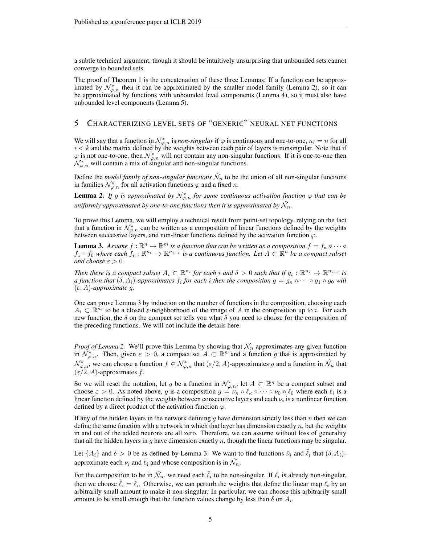a subtle technical argument, though it should be intuitively unsurprising that unbounded sets cannot converge to bounded sets.

The proof of Theorem 1 is the concatenation of these three Lemmas: If a function can be approximated by  $\mathcal{N}_{\varphi,n}^*$  then it can be approximated by the smaller model family (Lemma 2), so it can be approximated by functions with unbounded level components (Lemma 4), so it must also have unbounded level components (Lemma 5).

## 5 CHARACTERIZING LEVEL SETS OF "GENERIC" NEURAL NET FUNCTIONS

We will say that a function in  $\mathcal{N}_{\varphi,n}^*$  is *non-singular* if  $\varphi$  is continuous and one-to-one,  $n_i = n$  for all  $i < k$  and the matrix defined by the weights between each pair of layers is nonsingular. Note that if  $\varphi$  is not one-to-one, then  $\mathcal{N}_{\varphi,n}^*$  will not contain any non-singular functions. If it is one-to-one then  $\mathcal{N}^*_{\varphi,n}$  will contain a mix of singular and non-singular functions.

Define the *model family of non-singular functions*  $\hat{\mathcal{N}}_n$  to be the union of all non-singular functions in families  $\mathcal{N}_{\varphi,n}^*$  for all activation functions  $\varphi$  and a fixed n.

**Lemma 2.** If g is approximated by  $\mathcal{N}^*_{\varphi,n}$  for some continuous activation function  $\varphi$  that can be uniformly approximated by one-to-one functions then it is approximated by  $\hat{\mathcal{N}_{n}}.$ 

To prove this Lemma, we will employ a technical result from point-set topology, relying on the fact that a function in  $\mathcal{N}_{\varphi,n}^*$  can be written as a composition of linear functions defined by the weights between successive layers, and non-linear functions defined by the activation function  $\varphi$ .

**Lemma 3.** Assume  $f : \mathbb{R}^n \to \mathbb{R}^m$  is a function that can be written as a composition  $f = f_{\kappa} \circ \cdots \circ f_{\kappa}$  $f_1 \circ f_0$  where each  $f_i: \mathbb{R}^{n_i} \to \mathbb{R}^{n_{i+1}}$  is a continuous function. Let  $A \subset \mathbb{R}^n$  be a compact subset *and choose*  $\varepsilon > 0$ *.* 

*Then there is a compact subset*  $A_i \subset \mathbb{R}^{n_i}$  *for each i and*  $\delta > 0$  *such that if*  $g_i : \mathbb{R}^{n_i} \to \mathbb{R}^{n_{i+1}}$  *is a* function that  $(\delta, A_i)$ -approximates  $f_i$  for each  $i$  then the composition  $g = g_\kappa \circ \cdots \circ g_1 \circ g_0$  will (ε, A)*-approximate* g*.*

One can prove Lemma 3 by induction on the number of functions in the composition, choosing each  $A_i \subset \mathbb{R}^{n_i}$  to be a closed  $\varepsilon$ -neighborhood of the image of A in the composition up to i. For each new function, the  $\delta$  on the compact set tells you what  $\delta$  you need to choose for the composition of the preceding functions. We will not include the details here.

*Proof of Lemma 2.* We'll prove this Lemma by showing that  $\hat{\mathcal{N}}_n$  approximates any given function in  $\mathcal{N}_{\varphi,n}^*$ . Then, given  $\varepsilon > 0$ , a compact set  $A \subset \mathbb{R}^n$  and a function g that is approximated by  $\mathcal{N}_{\varphi,n}^*$ , we can choose a function  $f \in \mathcal{N}_{\varphi,n}^*$  that  $(\varepsilon/2, A)$ -approximates g and a function in  $\hat{\mathcal{N}}_n$  that  $(\varepsilon/2, A)$ -approximates f.

So we will reset the notation, let g be a function in  $\mathcal{N}^*_{\varphi,n}$ , let  $A \subset \mathbb{R}^n$  be a compact subset and choose  $\varepsilon > 0$ . As noted above, g is a composition  $g = \nu_{\kappa} \circ \ell_{\kappa} \circ \cdots \circ \nu_0 \circ \ell_0$  where each  $\ell_i$  is a linear function defined by the weights between consecutive layers and each  $\nu_i$  is a nonlinear function defined by a direct product of the activation function  $\varphi$ .

If any of the hidden layers in the network defining  $g$  have dimension strictly less than  $n$  then we can define the same function with a network in which that layer has dimension exactly  $n$ , but the weights in and out of the added neurons are all zero. Therefore, we can assume without loss of generality that all the hidden layers in  $g$  have dimension exactly  $n$ , though the linear functions may be singular.

Let  $\{A_i\}$  and  $\delta > 0$  be as defined by Lemma 3. We want to find functions  $\hat{\nu}_i$  and  $\hat{\ell}_i$  that  $(\delta, A_i)$ approximate each  $\nu_i$  and  $\ell_i$  and whose composition is in  $\hat{\mathcal{N}}_n$ .

For the composition to be in  $\hat{\mathcal{N}}_n$ , we need each  $\hat{\ell}_i$  to be non-singular. If  $\ell_i$  is already non-singular, then we choose  $\hat{\ell}_i = \ell_i$ . Otherwise, we can perturb the weights that define the linear map  $\ell_i$  by an arbitrarily small amount to make it non-singular. In particular, we can choose this arbitrarily small amount to be small enough that the function values change by less than  $\delta$  on  $A_i$ .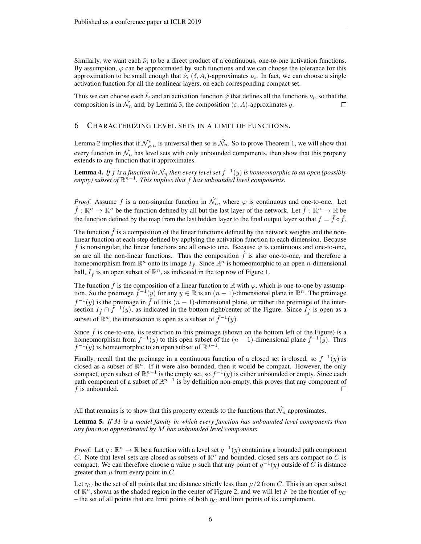Similarly, we want each  $\hat{\nu}_i$  to be a direct product of a continuous, one-to-one activation functions. By assumption,  $\varphi$  can be approximated by such functions and we can choose the tolerance for this approximation to be small enough that  $\hat{\nu}_i$  ( $\delta$ ,  $A_i$ )-approximates  $\nu_i$ . In fact, we can choose a single activation function for all the nonlinear layers, on each corresponding compact set.

Thus we can choose each  $\hat{\ell}_i$  and an activation function  $\hat{\varphi}$  that defines all the functions  $\nu_i$ , so that the composition is in  $\hat{\mathcal{N}}_n$  and, by Lemma 3, the composition  $(\varepsilon, A)$ -approximates g.

#### 6 CHARACTERIZING LEVEL SETS IN A LIMIT OF FUNCTIONS.

Lemma 2 implies that if  $\mathcal{N}_{\varphi,n}^*$  is universal then so is  $\hat{\mathcal{N}}_n$ . So to prove Theorem 1, we will show that every function in  $\hat{\mathcal{N}}_n$  has level sets with only unbounded components, then show that this property extends to any function that it approximates.

**Lemma 4.** If  $f$  is a function in  $\hat{\mathcal{N}}_n$  then every level set  $f^{-1}(y)$  is homeomorphic to an open (possibly  $\mathit{empty}$  subset of  $\mathbb{R}^{n-1}$ . This implies that f has unbounded level components.

*Proof.* Assume f is a non-singular function in  $\hat{\mathcal{N}}_n$ , where  $\varphi$  is continuous and one-to-one. Let  $\hat{f}: \mathbb{R}^n \to \mathbb{R}^n$  be the function defined by all but the last layer of the network. Let  $\bar{f}: \mathbb{R}^n \to \mathbb{R}$  be the function defined by the map from the last hidden layer to the final output layer so that  $f = \bar{f} \circ \hat{f}$ .

The function  $f$  is a composition of the linear functions defined by the network weights and the nonlinear function at each step defined by applying the activation function to each dimension. Because f is nonsingular, the linear functions are all one-to one. Because  $\varphi$  is continuous and one-to-one, so are all the non-linear functions. Thus the composition  $\hat{f}$  is also one-to-one, and therefore a homeomorphism from  $\mathbb{R}^n$  onto its image  $I_{\hat{f}}$ . Since  $\mathbb{R}^n$  is homeomorphic to an open *n*-dimensional ball,  $I_{\hat{f}}$  is an open subset of  $\mathbb{R}^n$ , as indicated in the top row of Figure 1.

The function f is the composition of a linear function to R with  $\varphi$ , which is one-to-one by assumption. So the preimage  $\bar{f}^{-1}(y)$  for any  $y \in \mathbb{R}$  is an  $(n-1)$ -dimensional plane in  $\mathbb{R}^n$ . The preimage  $f^{-1}(y)$  is the preimage in  $\hat{f}$  of this  $(n-1)$ -dimensional plane, or rather the preimage of the intersection  $I_f \cap \overline{f}^{-1}(y)$ , as indicated in the bottom right/center of the Figure. Since  $I_f$  is open as a subset of  $\mathbb{R}^n$ , the intersection is open as a subset of  $\bar{f}^{-1}(y)$ .

Since  $\hat{f}$  is one-to-one, its restriction to this preimage (shown on the bottom left of the Figure) is a homeomorphism from  $f^{-1}(y)$  to this open subset of the  $(n-1)$ -dimensional plane  $\bar{f}^{-1}(y)$ . Thus  $f^{-1}(y)$  is homeomorphic to an open subset of  $\mathbb{R}^{n-1}$ .

Finally, recall that the preimage in a continuous function of a closed set is closed, so  $f^{-1}(y)$  is closed as a subset of  $\mathbb{R}^n$ . If it were also bounded, then it would be compact. However, the only compact, open subset of  $\mathbb{R}^{n-1}$  is the empty set, so  $f^{-1}(y)$  is either unbounded or empty. Since each path component of a subset of  $\mathbb{R}^{n-1}$  is by definition non-empty, this proves that any component of  $f$  is unbounded.  $\Box$ 

All that remains is to show that this property extends to the functions that  $\hat{\mathcal{N}}_n$  approximates.

Lemma 5. *If* M *is a model family in which every function has unbounded level components then any function approximated by* M *has unbounded level components.*

*Proof.* Let  $g : \mathbb{R}^n \to \mathbb{R}$  be a function with a level set  $g^{-1}(y)$  containing a bounded path component C. Note that level sets are closed as subsets of  $\mathbb{R}^n$  and bounded, closed sets are compact so C is compact. We can therefore choose a value  $\mu$  such that any point of  $g^{-1}(y)$  outside of  $\tilde{C}$  is distance greater than  $\mu$  from every point in  $C$ .

Let  $\eta_C$  be the set of all points that are distance strictly less than  $\mu/2$  from C. This is an open subset of  $\mathbb{R}^n$ , shown as the shaded region in the center of Figure 2, and we will let F be the frontier of  $\eta_C$ – the set of all points that are limit points of both  $\eta_C$  and limit points of its complement.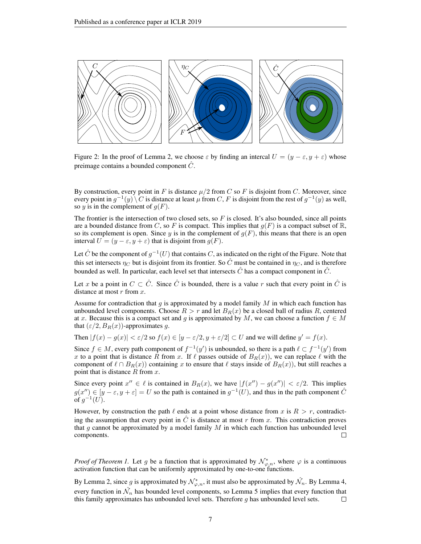

Figure 2: In the proof of Lemma 2, we choose  $\varepsilon$  by finding an intercal  $U = (y - \varepsilon, y + \varepsilon)$  whose preimage contains a bounded component  $\hat{C}$ .

By construction, every point in F is distance  $\mu/2$  from C so F is disjoint from C. Moreover, since every point in  $g^{-1}(y) \setminus C$  is distance at least  $\mu$  from C, F is disjoint from the rest of  $g^{-1}(y)$  as well, so y is in the complement of  $q(F)$ .

The frontier is the intersection of two closed sets, so  $F$  is closed. It's also bounded, since all points are a bounded distance from C, so F is compact. This implies that  $g(F)$  is a compact subset of  $\mathbb{R}$ , so its complement is open. Since y is in the complement of  $q(F)$ , this means that there is an open interval  $U = (y - \varepsilon, y + \varepsilon)$  that is disjoint from  $g(F)$ .

Let  $\hat{C}$  be the component of  $g^{-1}(U)$  that contains  $C$ , as indicated on the right of the Figure. Note that this set intersects  $\eta_C$  but is disjoint from its frontier. So  $\hat{C}$  must be contained in  $\eta_C$ , and is therefore bounded as well. In particular, each level set that intersects  $\hat{C}$  has a compact component in  $\hat{C}$ .

Let x be a point in  $C \subset \hat{C}$ . Since  $\hat{C}$  is bounded, there is a value r such that every point in  $\hat{C}$  is distance at most  $r$  from  $x$ .

Assume for contradiction that g is approximated by a model family  $M$  in which each function has unbounded level components. Choose  $R > r$  and let  $B_R(x)$  be a closed ball of radius R, centered at x. Because this is a compact set and g is approximated by M, we can choose a function  $f \in M$ that  $(\varepsilon/2, B_R(x))$ -approximates q.

Then  $|f(x) - g(x)| < \varepsilon/2$  so  $f(x) \in [y - \varepsilon/2, y + \varepsilon/2] \subset U$  and we will define  $y' = f(x)$ .

Since  $f \in M$ , every path component of  $f^{-1}(y')$  is unbounded, so there is a path  $\ell \subset f^{-1}(y')$  from x to a point that is distance R from x. If  $\ell$  passes outside of  $B_R(x)$ , we can replace  $\ell$  with the component of  $\ell \cap B_R(x)$  containing x to ensure that  $\ell$  stays inside of  $B_R(x)$ , but still reaches a point that is distance  $R$  from  $x$ .

Since every point  $x'' \in \ell$  is contained in  $B_R(x)$ , we have  $|f(x'') - g(x'')| < \varepsilon/2$ . This implies  $g(x'') \in [y - \varepsilon, y + \varepsilon] = U$  so the path is contained in  $g^{-1}(U)$ , and thus in the path component  $\hat{C}$ of  $g^{-1}(U)$ .

However, by construction the path  $\ell$  ends at a point whose distance from x is  $R > r$ , contradicting the assumption that every point in  $\hat{C}$  is distance at most r from x. This contradiction proves that g cannot be approximated by a model family  $M$  in which each function has unbounded level components.  $\Box$ 

*Proof of Theorem 1.* Let g be a function that is approximated by  $\mathcal{N}_{\varphi,n}^*$ , where  $\varphi$  is a continuous activation function that can be uniformly approximated by one-to-one functions.

By Lemma 2, since g is approximated by  $\mathcal{N}^*_{\varphi,n}$ , it must also be approximated by  $\hat{\mathcal{N}}_n$ . By Lemma 4, every function in  $\hat{\mathcal{N}}_n$  has bounded level components, so Lemma 5 implies that every function that this family approximates has unbounded level sets. Therefore  $g$  has unbounded level sets.  $\Box$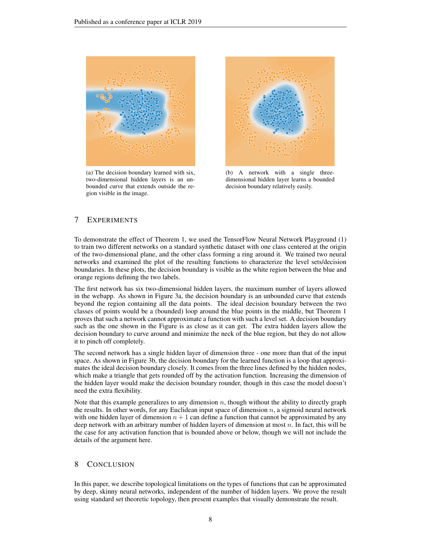

(a) The decision boundary learned with six, two-dimensional hidden layers is an unbounded curve that extends outside the region visible in the image.



(b) A network with a single threedimensional hidden layer learns a bounded decision boundary relatively easily.

## 7 EXPERIMENTS

To demonstrate the effect of Theorem 1, we used the TensorFlow Neural Network Playground (1) to train two different networks on a standard synthetic dataset with one class centered at the origin of the two-dimensional plane, and the other class forming a ring around it. We trained two neural networks and examined the plot of the resulting functions to characterize the level sets/decision boundaries. In these plots, the decision boundary is visible as the white region between the blue and orange regions defining the two labels.

The first network has six two-dimensional hidden layers, the maximum number of layers allowed in the webapp. As shown in Figure 3a, the decision boundary is an unbounded curve that extends beyond the region containing all the data points. The ideal decision boundary between the two classes of points would be a (bounded) loop around the blue points in the middle, but Theorem 1 proves that such a network cannot approximate a function with such a level set. A decision boundary such as the one shown in the Figure is as close as it can get. The extra hidden layers allow the decision boundary to curve around and minimize the neck of the blue region, but they do not allow it to pinch off completely.

The second network has a single hidden layer of dimension three - one more than that of the input space. As shown in Figure 3b, the decision boundary for the learned function is a loop that approximates the ideal decision boundary closely. It comes from the three lines defined by the hidden nodes, which make a triangle that gets rounded off by the activation function. Increasing the dimension of the hidden layer would make the decision boundary rounder, though in this case the model doesn't need the extra flexibility.

Note that this example generalizes to any dimension  $n$ , though without the ability to directly graph the results. In other words, for any Euclidean input space of dimension  $n$ , a sigmoid neural network with one hidden layer of dimension  $n + 1$  can define a function that cannot be approximated by any deep network with an arbitrary number of hidden layers of dimension at most  $n$ . In fact, this will be the case for any activation function that is bounded above or below, though we will not include the details of the argument here.

#### 8 CONCLUSION

In this paper, we describe topological limitations on the types of functions that can be approximated by deep, skinny neural networks, independent of the number of hidden layers. We prove the result using standard set theoretic topology, then present examples that visually demonstrate the result.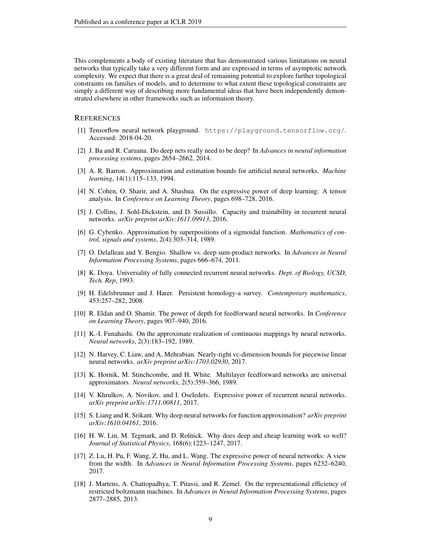This complements a body of existing literature that has demonstrated various limitations on neural networks that typically take a very different form and are expressed in terms of asymptotic network complexity. We expect that there is a great deal of remaining potential to explore further topological constraints on families of models, and to determine to what extent these topological constraints are simply a different way of describing more fundamental ideas that have been independently demonstrated elsewhere in other frameworks such as information theory.

#### **REFERENCES**

- [1] Tensorflow neural network playground. https://playground.tensorflow.org/. Accessed: 2018-04-20.
- [2] J. Ba and R. Caruana. Do deep nets really need to be deep? In *Advances in neural information processing systems*, pages 2654–2662, 2014.
- [3] A. R. Barron. Approximation and estimation bounds for artificial neural networks. *Machine learning*, 14(1):115–133, 1994.
- [4] N. Cohen, O. Sharir, and A. Shashua. On the expressive power of deep learning: A tensor analysis. In *Conference on Learning Theory*, pages 698–728, 2016.
- [5] J. Collins, J. Sohl-Dickstein, and D. Sussillo. Capacity and trainability in recurrent neural networks. *arXiv preprint arXiv:1611.09913*, 2016.
- [6] G. Cybenko. Approximation by superpositions of a sigmoidal function. *Mathematics of control, signals and systems*, 2(4):303–314, 1989.
- [7] O. Delalleau and Y. Bengio. Shallow vs. deep sum-product networks. In *Advances in Neural Information Processing Systems*, pages 666–674, 2011.
- [8] K. Doya. Universality of fully connected recurrent neural networks. *Dept. of Biology, UCSD, Tech. Rep*, 1993.
- [9] H. Edelsbrunner and J. Harer. Persistent homology-a survey. *Contemporary mathematics*, 453:257–282, 2008.
- [10] R. Eldan and O. Shamir. The power of depth for feedforward neural networks. In *Conference on Learning Theory*, pages 907–940, 2016.
- [11] K.-I. Funahashi. On the approximate realization of continuous mappings by neural networks. *Neural networks*, 2(3):183–192, 1989.
- [12] N. Harvey, C. Liaw, and A. Mehrabian. Nearly-tight vc-dimension bounds for piecewise linear neural networks. *arXiv preprint arXiv:1703.02930*, 2017.
- [13] K. Hornik, M. Stinchcombe, and H. White. Multilayer feedforward networks are universal approximators. *Neural networks*, 2(5):359–366, 1989.
- [14] V. Khrulkov, A. Novikov, and I. Oseledets. Expressive power of recurrent neural networks. *arXiv preprint arXiv:1711.00811*, 2017.
- [15] S. Liang and R. Srikant. Why deep neural networks for function approximation? *arXiv preprint arXiv:1610.04161*, 2016.
- [16] H. W. Lin, M. Tegmark, and D. Rolnick. Why does deep and cheap learning work so well? *Journal of Statistical Physics*, 168(6):1223–1247, 2017.
- [17] Z. Lu, H. Pu, F. Wang, Z. Hu, and L. Wang. The expressive power of neural networks: A view from the width. In *Advances in Neural Information Processing Systems*, pages 6232–6240, 2017.
- [18] J. Martens, A. Chattopadhya, T. Pitassi, and R. Zemel. On the representational efficiency of restricted boltzmann machines. In *Advances in Neural Information Processing Systems*, pages 2877–2885, 2013.